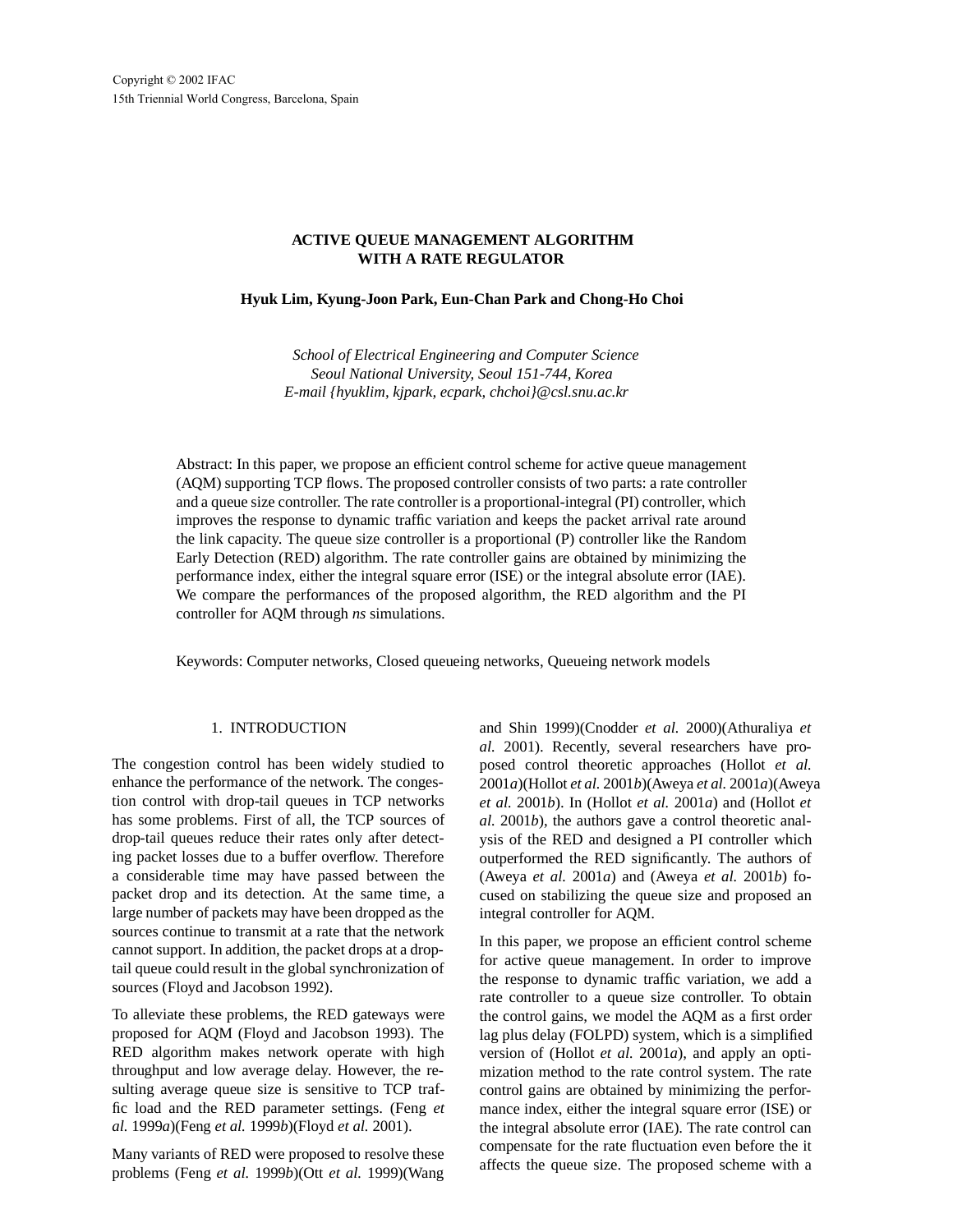# **ACTIVE QUEUE MANAGEMENT ALGORITHM WITH A RATE REGULATOR**

## **Hyuk Lim, Kyung-Joon Park, Eun-Chan Park and Chong-Ho Choi**

*School of Electrical Engineering and Computer Science Seoul National University, Seoul 151-744, Korea E-mail {hyuklim, kjpark, ecpark, chchoi}@csl.snu.ac.kr*

Abstract: In this paper, we propose an efficient control scheme for active queue management (AQM) supporting TCP flows. The proposed controller consists of two parts: a rate controller and a queue size controller. The rate controller is a proportional-integral (PI) controller, which improves the response to dynamic traffic variation and keeps the packet arrival rate around the link capacity. The queue size controller is a proportional (P) controller like the Random Early Detection (RED) algorithm. The rate controller gains are obtained by minimizing the performance index, either the integral square error (ISE) or the integral absolute error (IAE). We compare the performances of the proposed algorithm, the RED algorithm and the PI controller for AQM through *ns* simulations.

Keywords: Computer networks, Closed queueing networks, Queueing network models

# 1. INTRODUCTION

The congestion control has been widely studied to enhance the performance of the network. The congestion control with drop-tail queues in TCP networks has some problems. First of all, the TCP sources of drop-tail queues reduce their rates only after detecting packet losses due to a buffer overflow. Therefore a considerable time may have passed between the packet drop and its detection. At the same time, a large number of packets may have been dropped as the sources continue to transmit at a rate that the network cannot support. In addition, the packet drops at a droptail queue could result in the global synchronization of sources (Floyd and Jacobson 1992).

To alleviate these problems, the RED gateways were proposed for AQM (Floyd and Jacobson 1993). The RED algorithm makes network operate with high throughput and low average delay. However, the resulting average queue size is sensitive to TCP traffic load and the RED parameter settings. (Feng *et al.* 1999*a*)(Feng *et al.* 1999*b*)(Floyd *et al.* 2001).

Many variants of RED were proposed to resolve these problems (Feng *et al.* 1999*b*)(Ott *et al.* 1999)(Wang

and Shin 1999)(Cnodder *et al.* 2000)(Athuraliya *et al.* 2001). Recently, several researchers have proposed control theoretic approaches (Hollot *et al.* 2001*a*)(Hollot *et al.* 2001*b*)(Aweya *et al.* 2001*a*)(Aweya *et al.* 2001*b*). In (Hollot *et al.* 2001*a*) and (Hollot *et al.* 2001*b*), the authors gave a control theoretic analysis of the RED and designed a PI controller which outperformed the RED significantly. The authors of (Aweya *et al.* 2001*a*) and (Aweya *et al.* 2001*b*) focused on stabilizing the queue size and proposed an integral controller for AQM.

In this paper, we propose an efficient control scheme for active queue management. In order to improve the response to dynamic traffic variation, we add a rate controller to a queue size controller. To obtain the control gains, we model the AQM as a first order lag plus delay (FOLPD) system, which is a simplified version of (Hollot *et al.* 2001*a*), and apply an optimization method to the rate control system. The rate control gains are obtained by minimizing the performance index, either the integral square error (ISE) or the integral absolute error (IAE). The rate control can compensate for the rate fluctuation even before the it affects the queue size. The proposed scheme with a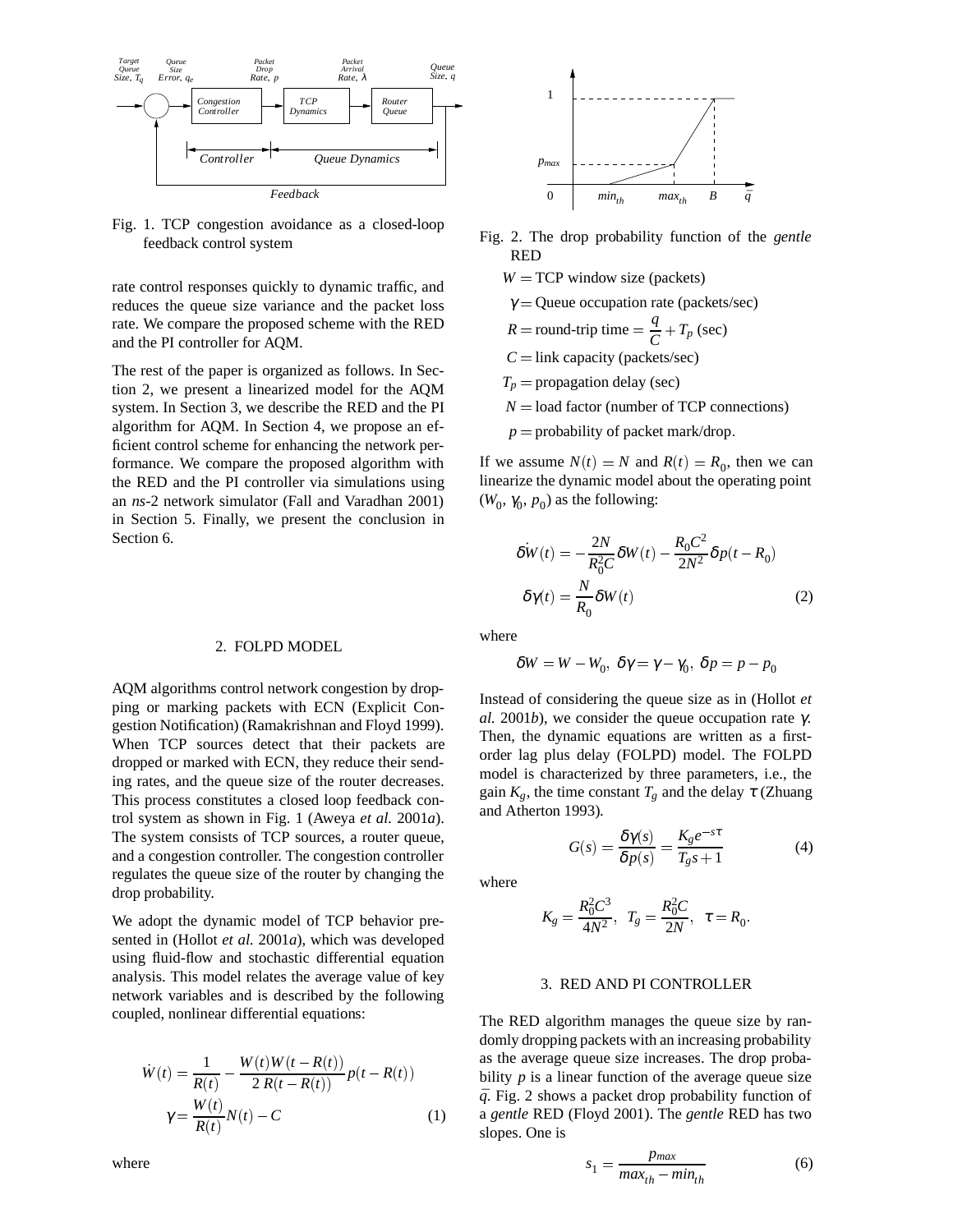

Fig. 1. TCP congestion avoidance as a closed-loop feedback control system

rate control responses quickly to dynamic traffic, and reduces the queue size variance and the packet loss rate. We compare the proposed scheme with the RED and the PI controller for AQM.

The rest of the paper is organized as follows. In Section 2, we present a linearized model for the AQM system. In Section 3, we describe the RED and the PI algorithm for AQM. In Section 4, we propose an efficient control scheme for enhancing the network performance. We compare the proposed algorithm with the RED and the PI controller via simulations using an *ns*-2 network simulator (Fall and Varadhan 2001) in Section 5. Finally, we present the conclusion in Section 6.

#### 2. FOLPD MODEL

AQM algorithms control network congestion by dropping or marking packets with ECN (Explicit Congestion Notification) (Ramakrishnan and Floyd 1999). When TCP sources detect that their packets are dropped or marked with ECN, they reduce their sending rates, and the queue size of the router decreases. This process constitutes a closed loop feedback control system as shown in Fig. 1 (Aweya *et al.* 2001*a*). The system consists of TCP sources, a router queue, and a congestion controller. The congestion controller regulates the queue size of the router by changing the drop probability.

We adopt the dynamic model of TCP behavior presented in (Hollot *et al.* 2001*a*), which was developed using fluid-flow and stochastic differential equation analysis. This model relates the average value of key network variables and is described by the following coupled, nonlinear differential equations:

$$
\dot{W}(t) = \frac{1}{R(t)} - \frac{W(t)W(t - R(t))}{2R(t - R(t))}p(t - R(t))
$$
\n
$$
\gamma = \frac{W(t)}{R(t)}N(t) - C
$$
\n(1)





Fig. 2. The drop probability function of the *gentle* RED

- $W = TCP$  window size (packets)
- $\gamma$  = Queue occupation rate (packets/sec)

$$
R = \text{round-trip time} = \frac{q}{C} + T_p \text{ (sec)}
$$

- $C =$ link capacity (packets/sec)
- $T_p$  = propagation delay (sec)
- $N =$ load factor (number of TCP connections)
- $p =$  probability of packet mark/drop.

If we assume  $N(t) = N$  and  $R(t) = R_0$ , then we can linearize the dynamic model about the operating point ( $W_0$ ,  $\gamma_0$ ,  $p_0$ ) as the following:

$$
\delta W(t) = -\frac{2N}{R_0^2 C} \delta W(t) - \frac{R_0 C^2}{2N^2} \delta p(t - R_0)
$$
  

$$
\delta \gamma(t) = \frac{N}{R_0} \delta W(t)
$$
 (2)

where

$$
\delta W = W - W_0, \ \delta \gamma = \gamma - \gamma_0, \ \delta p = p - p_0
$$

Instead of considering the queue size as in (Hollot *et al.* 2001*b*), we consider the queue occupation rate γ. Then, the dynamic equations are written as a firstorder lag plus delay (FOLPD) model. The FOLPD model is characterized by three parameters, i.e., the gain  $K_g$ , the time constant  $T_g$  and the delay  $\tau$  (Zhuang and Atherton 1993).

$$
G(s) = \frac{\delta \gamma(s)}{\delta p(s)} = \frac{K_g e^{-s\tau}}{T_g s + 1}
$$
 (4)

where

$$
K_g = \frac{R_0^2 C^3}{4N^2}, \ \ T_g = \frac{R_0^2 C}{2N}, \ \ \tau = R_0.
$$

## 3. RED AND PI CONTROLLER

The RED algorithm manages the queue size by randomly dropping packets with an increasing probability as the average queue size increases. The drop probability  $p$  is a linear function of the average queue size  $\bar{q}$ . Fig. 2 shows a packet drop probability function of a *gentle* RED (Floyd 2001). The *gentle* RED has two slopes. One is

$$
s_1 = \frac{p_{max}}{max_{th} - min_{th}}
$$
 (6)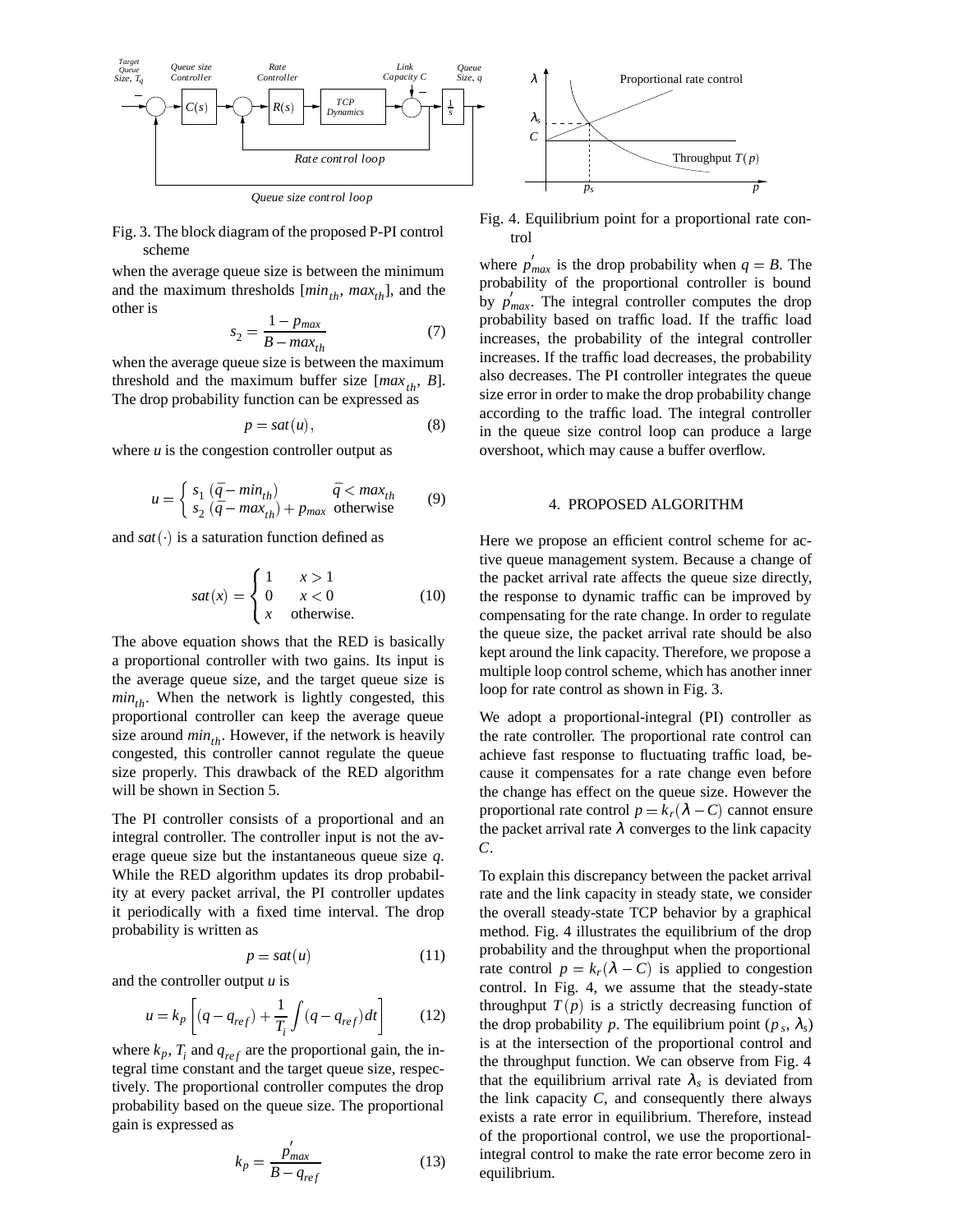

*Queue size control loop*

Fig. 3. The block diagram of the proposed P-PI control scheme

when the average queue size is between the minimum and the maximum thresholds  $[\min_{th}, \max_{th}]$ , and the other is

$$
s_2 = \frac{1 - p_{max}}{B - max_{th}}\tag{7}
$$

when the average queue size is between the maximum threshold and the maximum buffer size  $(max_{th}, B]$ . The drop probability function can be expressed as

$$
p = sat(u), \tag{8}
$$

where  $u$  is the congestion controller output as

$$
u = \begin{cases} s_1 (\bar{q} - \min_{th}) & \bar{q} < \max_{th} \\ s_2 (\bar{q} - \max_{th}) + p_{\max} \text{ otherwise} \end{cases} \tag{9}
$$

and *sat* () is a saturation function defined as

$$
sat(x) = \begin{cases} 1 & x > 1 \\ 0 & x < 0 \\ x & \text{otherwise.} \end{cases}
$$
 (10)

The above equation shows that the RED is basically a proportional controller with two gains. Its input is the average queue size, and the target queue size is  $min_{th}$ . When the network is lightly congested, this proportional controller can keep the average queue size around  $min_{th}$ . However, if the network is heavily congested, this controller cannot regulate the queue size properly. This drawback of the RED algorithm will be shown in Section 5.

The PI controller consists of a proportional and an integral controller. The controller input is not the average queue size but the instantaneous queue size *q*. While the RED algorithm updates its drop probability at every packet arrival, the PI controller updates it periodically with a fixed time interval. The drop probability is written as

$$
p = sat(u) \tag{11}
$$

and the controller output *u* is

$$
u = k_p \left[ (q - q_{ref}) + \frac{1}{T_i} \int (q - q_{ref}) dt \right]
$$
 (12)

where  $k_p$ ,  $T_i$  and  $q_{ref}$  are the proportional gain, the integral time constant and the target queue size, respectively. The proportional controller computes the drop probability based on the queue size. The proportional gain is expressed as

$$
k_p = \frac{p_{max}}{B - q_{ref}}\tag{13}
$$



where  $p_{max}$  is the drop probability when  $q = B$ . The probability of the proportional controller is bound by  $p_{max}$ . The integral controller computes the drop probability based on traffic load. If the traffic load increases, the probability of the integral controller increases. If the traffic load decreases, the probability also decreases. The PI controller integrates the queue size error in order to make the drop probability change according to the traffic load. The integral controller in the queue size control loop can produce a large overshoot, which may cause a buffer overflow.

### 4. PROPOSED ALGORITHM

Here we propose an efficient control scheme for active queue management system. Because a change of the packet arrival rate affects the queue size directly, the response to dynamic traffic can be improved by compensating for the rate change. In order to regulate the queue size, the packet arrival rate should be also kept around the link capacity. Therefore, we propose a multiple loop control scheme, which has another inner loop for rate control as shown in Fig. 3.

We adopt a proportional-integral (PI) controller as the rate controller. The proportional rate control can achieve fast response to fluctuating traffic load, because it compensates for a rate change even before the change has effect on the queue size. However the proportional rate control  $p = k_r(\lambda - C)$  cannot ensure the packet arrival rate  $\lambda$  converges to the link capacity *C*.

To explain this discrepancy between the packet arrival rate and the link capacity in steady state, we consider the overall steady-state TCP behavior by a graphical method. Fig. 4 illustrates the equilibrium of the drop probability and the throughput when the proportional rate control  $p = k_r(\lambda - C)$  is applied to congestion control. In Fig. 4, we assume that the steady-state throughput  $T(p)$  is a strictly decreasing function of the drop probability *p*. The equilibrium point ( $p_s$ ,  $\lambda_s$ ) is at the intersection of the proportional control and the throughput function. We can observe from Fig. 4 that the equilibrium arrival rate  $\lambda_s$  is deviated from the link capacity  $C$ , and consequently there always exists a rate error in equilibrium. Therefore, instead of the proportional control, we use the proportionalintegral control to make the rate error become zero in equilibrium.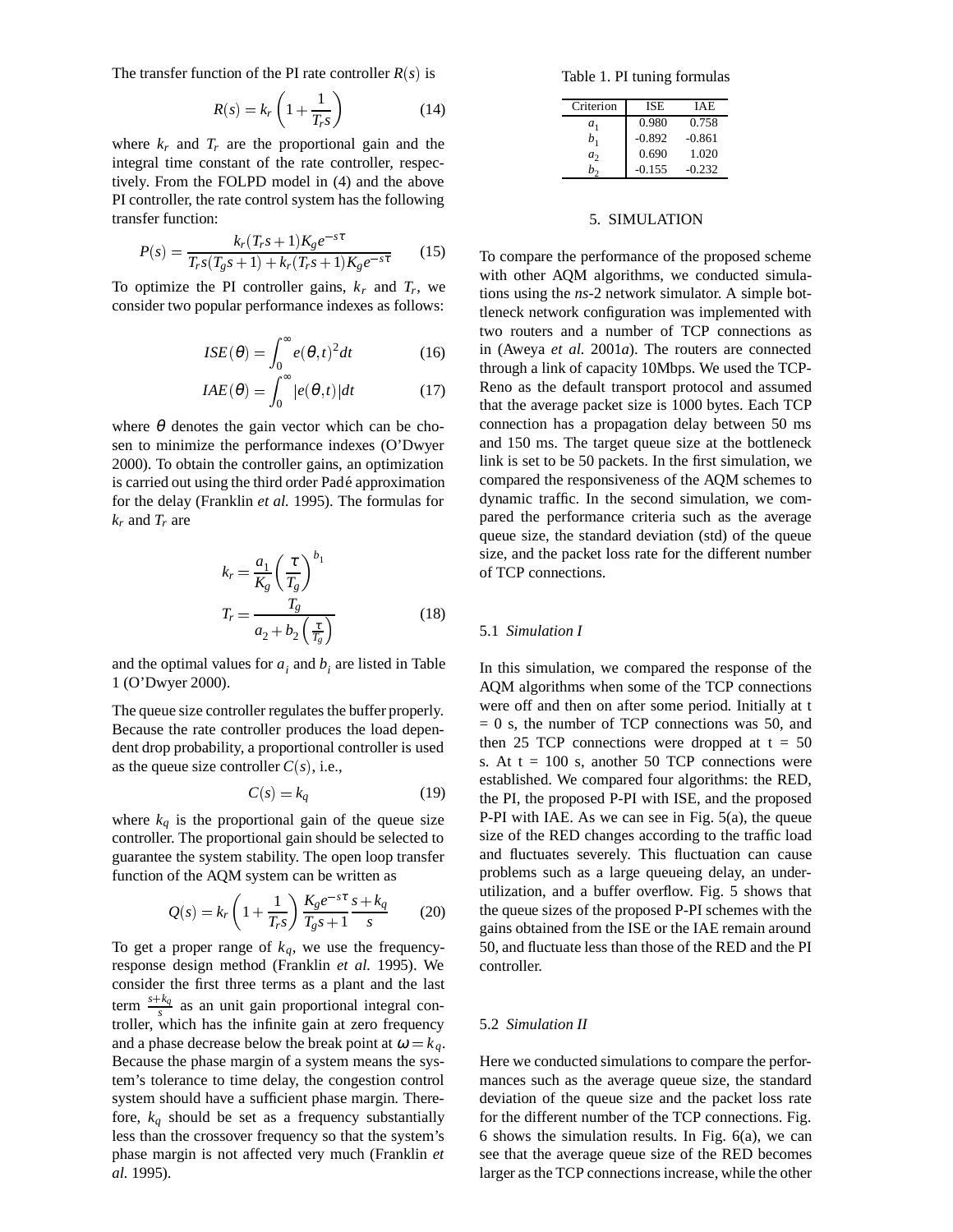The transfer function of the PI rate controller  $R(s)$  is

$$
R(s) = k_r \left( 1 + \frac{1}{T_r s} \right) \tag{14}
$$

where  $k_r$  and  $T_r$  are the proportional gain and the integral time constant of the rate controller, respectively. From the FOLPD model in (4) and the above PI controller, the rate control system has the following transfer function:

$$
P(s) = \frac{k_r(T_r s + 1)K_g e^{-s\tau}}{T_r s(T_g s + 1) + k_r(T_r s + 1)K_g e^{-s\tau}}
$$
(15)

To optimize the PI controller gains,  $k_r$  and  $T_r$ , we consider two popular performance indexes as follows:

$$
ISE(\theta) = \int_0^\infty e(\theta, t)^2 dt \tag{16}
$$

$$
IAE(\theta) = \int_0^\infty |e(\theta, t)| dt \tag{17}
$$

where  $\theta$  denotes the gain vector which can be chosen to minimize the performance indexes (O'Dwyer 2000). To obtain the controller gains, an optimization is carried out using the third order Pade approximation ´ for the delay (Franklin *et al.* 1995). The formulas for  $k_r$  and  $T_r$  are

$$
k_r = \frac{a_1}{K_g} \left(\frac{\tau}{T_g}\right)^{b_1}
$$
  

$$
T_r = \frac{T_g}{a_2 + b_2 \left(\frac{\tau}{T_g}\right)}
$$
(18)

and the optimal values for  $a_i$  and  $b_i$  are listed in Table 1 (O'Dwyer 2000).

The queue size controller regulates the buffer properly. Because the rate controller produces the load dependent drop probability, a proportional controller is used as the queue size controller  $C(s)$ , i.e.,

$$
C(s) = k_q \tag{19}
$$

where  $k_q$  is the proportional gain of the queue size controller. The proportional gain should be selected to guarantee the system stability. The open loop transfer function of the AQM system can be written as

$$
Q(s) = k_r \left( 1 + \frac{1}{T_r s} \right) \frac{K_g e^{-s\tau}}{T_g s + 1} \frac{s + k_q}{s}
$$
 (20)

To get a proper range of  $k_q$ , we use the frequencyresponse design method (Franklin *et al.* 1995). We consider the first three terms as a plant and the last term  $\frac{s+k_q}{s}$  as an unit gain proportional integral controller, which has the infinite gain at zero frequency and a phase decrease below the break point at  $\omega = k_q$ . Because the phase margin of a system means the system's tolerance to time delay, the congestion control system should have a sufficient phase margin. Therefore,  $k_q$  should be set as a frequency substantially less than the crossover frequency so that the system's phase margin is not affected very much (Franklin *et al.* 1995).

Table 1. PI tuning formulas

| Criterion      | ISE      | <b>IAE</b> |
|----------------|----------|------------|
| $a_{1}$        | 0.980    | 0.758      |
| b,             | $-0.892$ | $-0.861$   |
| a <sub>2</sub> | 0.690    | 1.020      |
|                | $-0.155$ | $-0.232$   |

### 5. SIMULATION

To compare the performance of the proposed scheme with other AQM algorithms, we conducted simulations using the *ns*-2 network simulator. A simple bottleneck network configuration was implemented with two routers and a number of TCP connections as in (Aweya *et al.* 2001*a*). The routers are connected through a link of capacity 10Mbps. We used the TCP-Reno as the default transport protocol and assumed that the average packet size is 1000 bytes. Each TCP connection has a propagation delay between 50 ms and 150 ms. The target queue size at the bottleneck link is set to be 50 packets. In the first simulation, we compared the responsiveness of the AQM schemes to dynamic traffic. In the second simulation, we compared the performance criteria such as the average queue size, the standard deviation (std) of the queue size, and the packet loss rate for the different number of TCP connections.

#### 5.1 *Simulation I*

In this simulation, we compared the response of the AQM algorithms when some of the TCP connections were off and then on after some period. Initially at t  $= 0$  s, the number of TCP connections was 50, and then 25 TCP connections were dropped at  $t = 50$ s. At  $t = 100$  s, another 50 TCP connections were established. We compared four algorithms: the RED, the PI, the proposed P-PI with ISE, and the proposed P-PI with IAE. As we can see in Fig. 5(a), the queue size of the RED changes according to the traffic load and fluctuates severely. This fluctuation can cause problems such as a large queueing delay, an underutilization, and a buffer overflow. Fig. 5 shows that the queue sizes of the proposed P-PI schemes with the gains obtained from the ISE or the IAE remain around 50, and fluctuate less than those of the RED and the PI controller.

#### 5.2 *Simulation II*

Here we conducted simulations to compare the performances such as the average queue size, the standard deviation of the queue size and the packet loss rate for the different number of the TCP connections. Fig. 6 shows the simulation results. In Fig. 6(a), we can see that the average queue size of the RED becomes larger as the TCP connections increase, while the other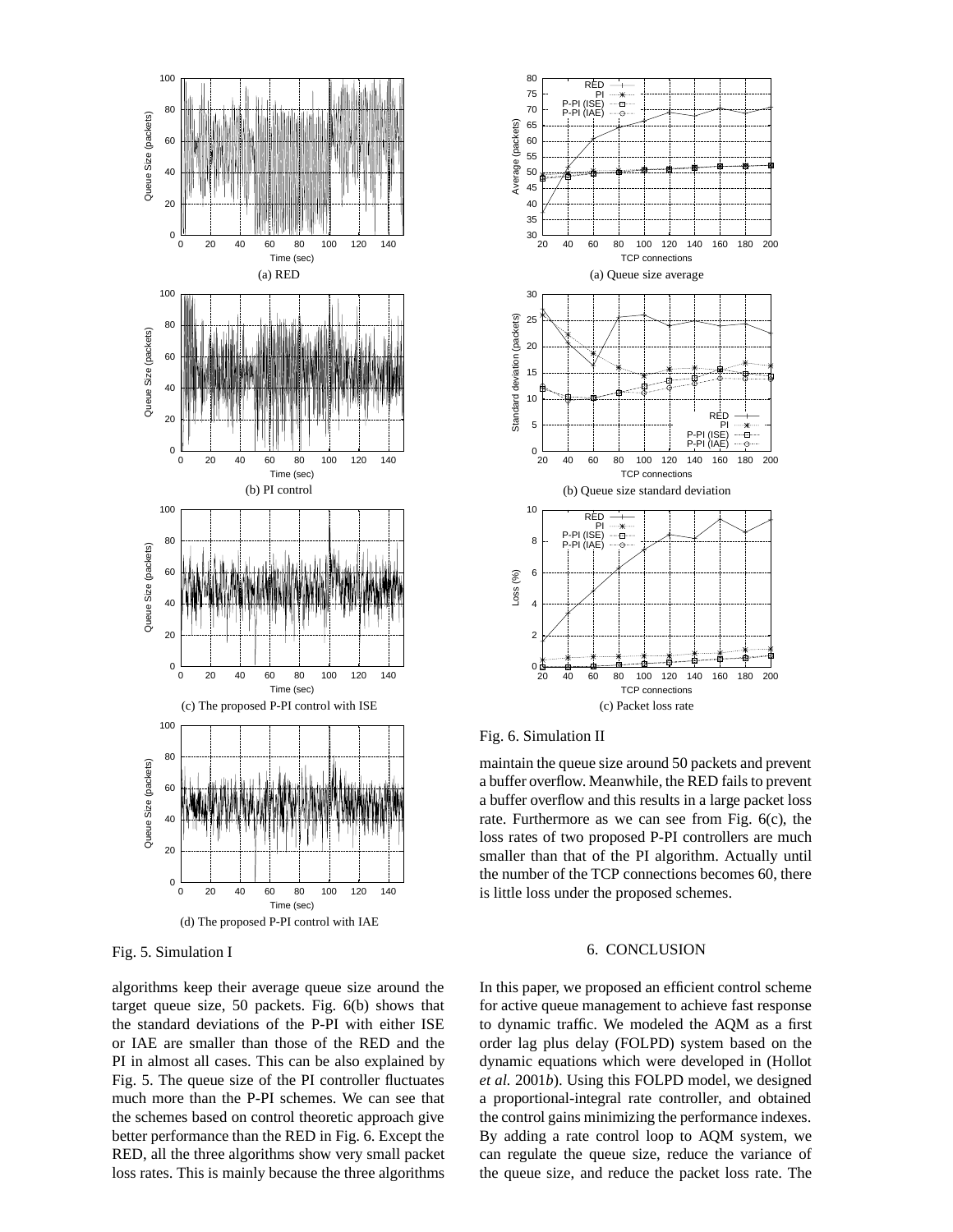

Fig. 5. Simulation I

algorithms keep their average queue size around the target queue size, 50 packets. Fig. 6(b) shows that the standard deviations of the P-PI with either ISE or IAE are smaller than those of the RED and the PI in almost all cases. This can be also explained by Fig. 5. The queue size of the PI controller fluctuates much more than the P-PI schemes. We can see that the schemes based on control theoretic approach give better performance than the RED in Fig. 6. Except the RED, all the three algorithms show very small packet loss rates. This is mainly because the three algorithms



Fig. 6. Simulation II

maintain the queue size around 50 packets and prevent a buffer overflow. Meanwhile, the RED fails to prevent a buffer overflow and this results in a large packet loss rate. Furthermore as we can see from Fig. 6(c), the loss rates of two proposed P-PI controllers are much smaller than that of the PI algorithm. Actually until the number of the TCP connections becomes 60, there is little loss under the proposed schemes.

# 6. CONCLUSION

In this paper, we proposed an efficient control scheme for active queue management to achieve fast response to dynamic traffic. We modeled the AQM as a first order lag plus delay (FOLPD) system based on the dynamic equations which were developed in (Hollot *et al.* 2001*b*). Using this FOLPD model, we designed a proportional-integral rate controller, and obtained the control gains minimizing the performance indexes. By adding a rate control loop to AQM system, we can regulate the queue size, reduce the variance of the queue size, and reduce the packet loss rate. The